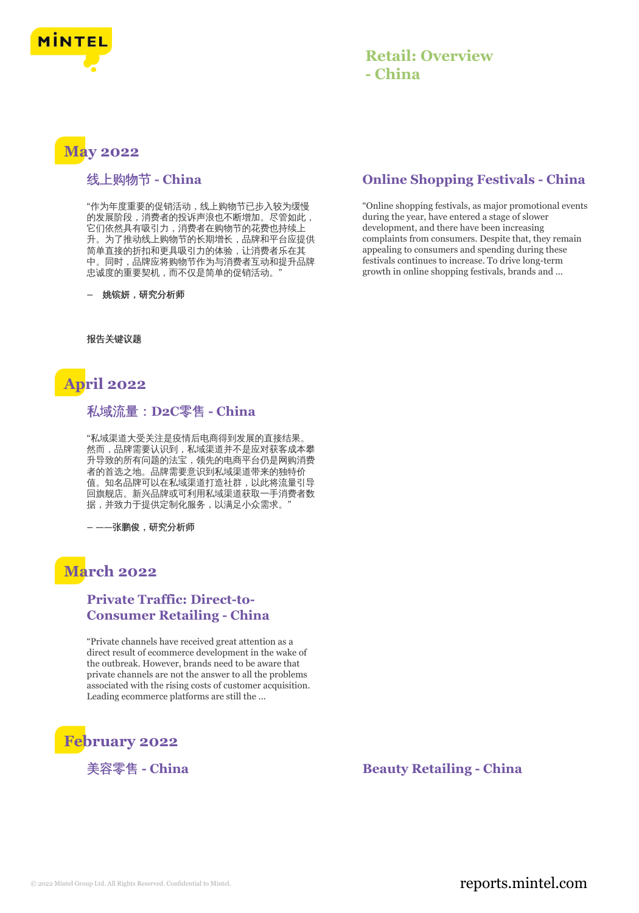

### **Retail: Overview - China**

# **May 2022**

#### 线上购物节 **- China**

"作为年度重要的促销活动,线上购物节已步入较为缓慢 的发展阶段,消费者的投诉声浪也不断增加。尽管如此, 它们依然具有吸引力,消费者在购物节的花费也持续上 升。为了推动线上购物节的长期增长,品牌和平台应提供 简单直接的折扣和更具吸引力的体验,让消费者乐在其 中。同时,品牌应将购物节作为与消费者互动和提升品牌 忠诚度的重要契机,而不仅是简单的促销活动。

**–** 姚镔妍,研究分析师

报告关键议题



#### 私域流量:**D2C**零售 **- China**

"私域渠道大受关注是疫情后电商得到发展的直接结果。 然而,品牌需要认识到,私域渠道并不是应对获客成本攀 升导致的所有问题的法宝,领先的电商平台仍是网购消费 者的首选之地。品牌需要意识到私域渠道带来的独特价 值。知名品牌可以在私域渠道打造社群,以此将流量引导 回旗舰店。新兴品牌或可利用私域渠道获取一手消费者数 据,并致力于提供定制化服务,以满足小众需求。

**– ——**张鹏俊,研究分析师

### **March 2022**

#### **Private Traffic: Direct-to-Consumer Retailing - China**

"Private channels have received great attention as a direct result of ecommerce development in the wake of the outbreak. However, brands need to be aware that private channels are not the answer to all the problems associated with the rising costs of customer acquisition. Leading ecommerce platforms are still the ...



### **Online Shopping Festivals - China**

"Online shopping festivals, as major promotional events during the year, have entered a stage of slower development, and there have been increasing complaints from consumers. Despite that, they remain appealing to consumers and spending during these festivals continues to increase. To drive long-term growth in online shopping festivals, brands and ...

美容零售 - China **Beauty Retailing - China**